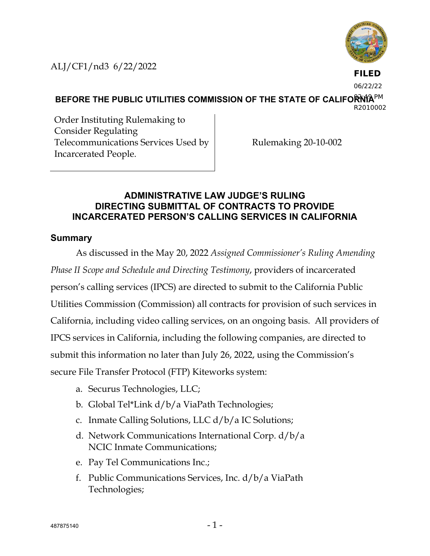ALJ/CF1/nd3 6/22/2022



**FILED**

06/22/22

BEFORE THE PUBLIC UTILITIES COMMISSION OF THE STATE OF CALIFORMA<sup>PM</sup> R2010002

Order Instituting Rulemaking to Consider Regulating Telecommunications Services Used by Incarcerated People.

Rulemaking 20-10-002

## **ADMINISTRATIVE LAW JUDGE'S RULING DIRECTING SUBMITTAL OF CONTRACTS TO PROVIDE INCARCERATED PERSON'S CALLING SERVICES IN CALIFORNIA**

## **Summary**

As discussed in the May 20, 2022 *Assigned Commissioner's Ruling Amending Phase II Scope and Schedule and Directing Testimony*, providers of incarcerated person's calling services (IPCS) are directed to submit to the California Public Utilities Commission (Commission) all contracts for provision of such services in California, including video calling services, on an ongoing basis. All providers of IPCS services in California, including the following companies, are directed to submit this information no later than July 26, 2022, using the Commission's secure File Transfer Protocol (FTP) Kiteworks system:

- a. Securus Technologies, LLC;
- b. Global Tel\*Link d/b/a ViaPath Technologies;
- c. Inmate Calling Solutions, LLC d/b/a IC Solutions;
- d. Network Communications International Corp. d/b/a NCIC Inmate Communications;
- e. Pay Tel Communications Inc.;
- f. Public Communications Services, Inc. d/b/a ViaPath Technologies;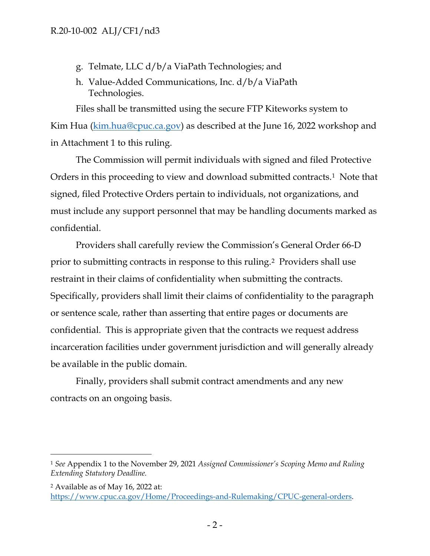- g. Telmate, LLC d/b/a ViaPath Technologies; and
- h. Value-Added Communications, Inc. d/b/a ViaPath Technologies.

Files shall be transmitted using the secure FTP Kiteworks system to Kim Hua [\(kim.hua@cpuc.ca.gov\)](mailto:kim.hua@cpuc.ca.gov) as described at the June 16, 2022 workshop and in Attachment 1 to this ruling.

The Commission will permit individuals with signed and filed Protective Orders in this proceeding to view and download submitted contracts.[1](#page-1-0) Note that signed, filed Protective Orders pertain to individuals, not organizations, and must include any support personnel that may be handling documents marked as confidential.

Providers shall carefully review the Commission's General Order 66-D prior to submitting contracts in response to this ruling.[2](#page-1-1) Providers shall use restraint in their claims of confidentiality when submitting the contracts. Specifically, providers shall limit their claims of confidentiality to the paragraph or sentence scale, rather than asserting that entire pages or documents are confidential. This is appropriate given that the contracts we request address incarceration facilities under government jurisdiction and will generally already be available in the public domain.

Finally, providers shall submit contract amendments and any new contracts on an ongoing basis.

<span id="page-1-0"></span><sup>1</sup> *See* Appendix 1 to the November 29, 2021 *Assigned Commissioner's Scoping Memo and Ruling Extending Statutory Deadline.*

<span id="page-1-1"></span><sup>2</sup> Available as of May 16, 2022 at: [https://www.cpuc.ca.gov/Home/Proceedings-and-Rulemaking/CPUC-general-orders.](https://www.cpuc.ca.gov/Home/Proceedings-and-Rulemaking/CPUC-general-orders)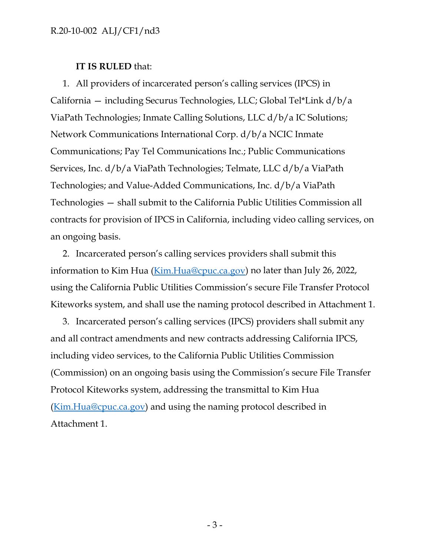## **IT IS RULED** that:

1. All providers of incarcerated person's calling services (IPCS) in California — including Securus Technologies, LLC; Global Tel\*Link d/b/a ViaPath Technologies; Inmate Calling Solutions, LLC d/b/a IC Solutions; Network Communications International Corp. d/b/a NCIC Inmate Communications; Pay Tel Communications Inc.; Public Communications Services, Inc. d/b/a ViaPath Technologies; Telmate, LLC d/b/a ViaPath Technologies; and Value-Added Communications, Inc. d/b/a ViaPath Technologies — shall submit to the California Public Utilities Commission all contracts for provision of IPCS in California, including video calling services, on an ongoing basis.

2. Incarcerated person's calling services providers shall submit this information to Kim Hua [\(Kim.Hua@cpuc.ca.gov\)](mailto:Kim.Hua@cpuc.ca.gov) no later than July 26, 2022, using the California Public Utilities Commission's secure File Transfer Protocol Kiteworks system, and shall use the naming protocol described in Attachment 1.

3. Incarcerated person's calling services (IPCS) providers shall submit any and all contract amendments and new contracts addressing California IPCS, including video services, to the California Public Utilities Commission (Commission) on an ongoing basis using the Commission's secure File Transfer Protocol Kiteworks system, addressing the transmittal to Kim Hua [\(Kim.Hua@cpuc.ca.gov\)](mailto:Kim.Hua@cpuc.ca.gov) and using the naming protocol described in Attachment 1.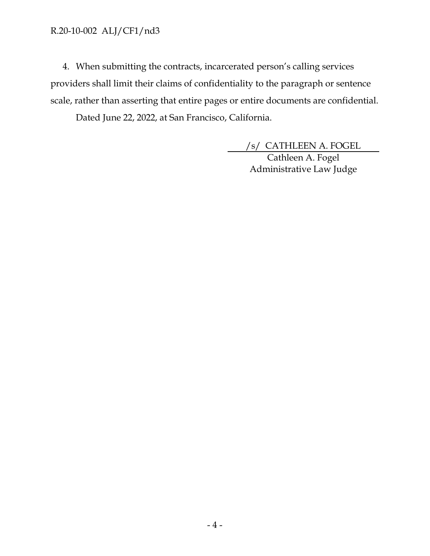4. When submitting the contracts, incarcerated person's calling services providers shall limit their claims of confidentiality to the paragraph or sentence scale, rather than asserting that entire pages or entire documents are confidential.

Dated June 22, 2022, at San Francisco, California.

/s/ CATHLEEN A. FOGEL

Cathleen A. Fogel Administrative Law Judge